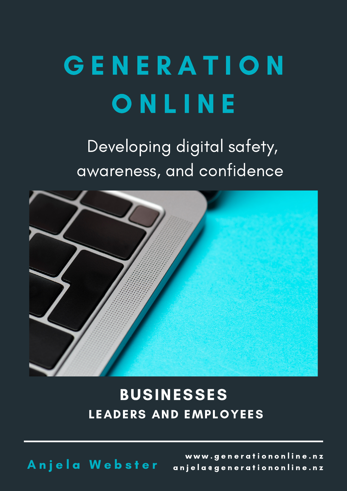# G E N E R A T I O N **ONLINE**

Developing digital safety, awareness, and confidence



#### BUSINESSES LEADERS AND EMPLOYEES

Anjela Webster

www.generationonline.nz anjela e generation online.nz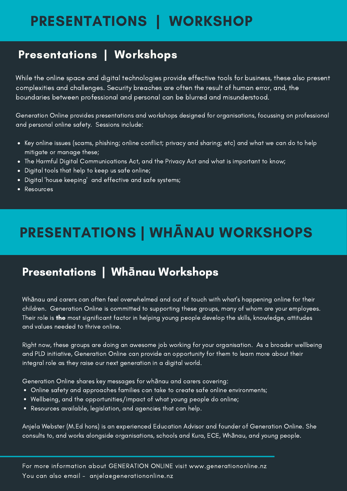### PRESENTATIONS | WORKSHOP

#### Presentations | Workshops

While the online space and digital technologies provide effective tools for business, these also present complexities and challenges. Security breaches are often the result of human error, and, the boundaries between professional and personal can be blurred and misunderstood.

Generation Online provides presentations and workshops designed for organisations, focussing on professional and personal online safety. Sessions include:

- Key online issues (scams, phishing; online conflict; privacy and sharing; etc) and what we can do to help mitigate or manage these;
- The Harmful Digital Communications Act, and the Privacy Act and what is important to know;
- Digital tools that help to keep us safe online;
- Digital 'house keeping' and effective and safe systems;
- Resources

## PRESENTATIONS | WH**Ā**NAU WORKSHOPS

#### Presentations | Wh**ā**nau Workshops

Whānau and carers can often feel overwhelmed and out of touch with what's happening online for their children. Generation Online is committed to supporting these groups, many of whom are your employees. Their role is the most significant factor in helping young people develop the skills, knowledge, attitudes and values needed to thrive online.

Right now, these groups are doing an awesome job working for your organisation. As a broader wellbeing and PLD initiative, Generation Online can provide an opportunity for them to learn more about their integral role as they raise our next generation in a digital world.

Generation Online shares key messages for whānau and carers covering:

- Online safety and approaches families can take to create safe online environments;
- Wellbeing, and the opportunities/impact of what young people do online;
- Resources available, legislation, and agencies that can help.

Anjela Webster (M.Ed hons) is an experienced Education Advisor and founder of Generation Online. She consults to, and works alongside organisations, schools and Kura, ECE, Whānau, and young people.